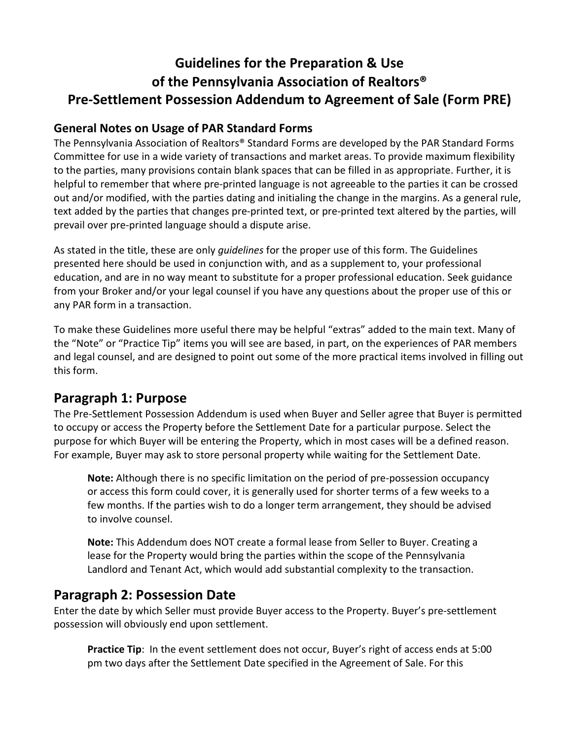# **Guidelines for the Preparation & Use of the Pennsylvania Association of Realtors® Pre-Settlement Possession Addendum to Agreement of Sale (Form PRE)**

#### **General Notes on Usage of PAR Standard Forms**

The Pennsylvania Association of Realtors® Standard Forms are developed by the PAR Standard Forms Committee for use in a wide variety of transactions and market areas. To provide maximum flexibility to the parties, many provisions contain blank spaces that can be filled in as appropriate. Further, it is helpful to remember that where pre-printed language is not agreeable to the parties it can be crossed out and/or modified, with the parties dating and initialing the change in the margins. As a general rule, text added by the parties that changes pre-printed text, or pre-printed text altered by the parties, will prevail over pre-printed language should a dispute arise.

As stated in the title, these are only *guidelines* for the proper use of this form. The Guidelines presented here should be used in conjunction with, and as a supplement to, your professional education, and are in no way meant to substitute for a proper professional education. Seek guidance from your Broker and/or your legal counsel if you have any questions about the proper use of this or any PAR form in a transaction.

To make these Guidelines more useful there may be helpful "extras" added to the main text. Many of the "Note" or "Practice Tip" items you will see are based, in part, on the experiences of PAR members and legal counsel, and are designed to point out some of the more practical items involved in filling out this form.

### **Paragraph 1: Purpose**

The Pre-Settlement Possession Addendum is used when Buyer and Seller agree that Buyer is permitted to occupy or access the Property before the Settlement Date for a particular purpose. Select the purpose for which Buyer will be entering the Property, which in most cases will be a defined reason. For example, Buyer may ask to store personal property while waiting for the Settlement Date.

**Note:** Although there is no specific limitation on the period of pre-possession occupancy or access this form could cover, it is generally used for shorter terms of a few weeks to a few months. If the parties wish to do a longer term arrangement, they should be advised to involve counsel.

**Note:** This Addendum does NOT create a formal lease from Seller to Buyer. Creating a lease for the Property would bring the parties within the scope of the Pennsylvania Landlord and Tenant Act, which would add substantial complexity to the transaction.

#### **Paragraph 2: Possession Date**

Enter the date by which Seller must provide Buyer access to the Property. Buyer's pre-settlement possession will obviously end upon settlement.

**Practice Tip**: In the event settlement does not occur, Buyer's right of access ends at 5:00 pm two days after the Settlement Date specified in the Agreement of Sale. For this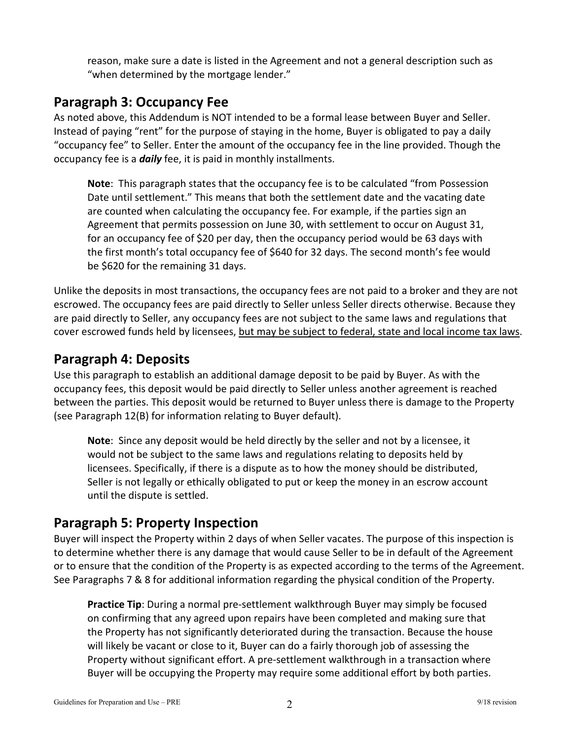reason, make sure a date is listed in the Agreement and not a general description such as "when determined by the mortgage lender."

### **Paragraph 3: Occupancy Fee**

As noted above, this Addendum is NOT intended to be a formal lease between Buyer and Seller. Instead of paying "rent" for the purpose of staying in the home, Buyer is obligated to pay a daily "occupancy fee" to Seller. Enter the amount of the occupancy fee in the line provided. Though the occupancy fee is a *daily* fee, it is paid in monthly installments.

**Note**: This paragraph states that the occupancy fee is to be calculated "from Possession Date until settlement." This means that both the settlement date and the vacating date are counted when calculating the occupancy fee. For example, if the parties sign an Agreement that permits possession on June 30, with settlement to occur on August 31, for an occupancy fee of \$20 per day, then the occupancy period would be 63 days with the first month's total occupancy fee of \$640 for 32 days. The second month's fee would be \$620 for the remaining 31 days.

Unlike the deposits in most transactions, the occupancy fees are not paid to a broker and they are not escrowed. The occupancy fees are paid directly to Seller unless Seller directs otherwise. Because they are paid directly to Seller, any occupancy fees are not subject to the same laws and regulations that cover escrowed funds held by licensees, but may be subject to federal, state and local income tax laws.

### **Paragraph 4: Deposits**

Use this paragraph to establish an additional damage deposit to be paid by Buyer. As with the occupancy fees, this deposit would be paid directly to Seller unless another agreement is reached between the parties. This deposit would be returned to Buyer unless there is damage to the Property (see Paragraph 12(B) for information relating to Buyer default).

**Note**: Since any deposit would be held directly by the seller and not by a licensee, it would not be subject to the same laws and regulations relating to deposits held by licensees. Specifically, if there is a dispute as to how the money should be distributed, Seller is not legally or ethically obligated to put or keep the money in an escrow account until the dispute is settled.

# **Paragraph 5: Property Inspection**

Buyer will inspect the Property within 2 days of when Seller vacates. The purpose of this inspection is to determine whether there is any damage that would cause Seller to be in default of the Agreement or to ensure that the condition of the Property is as expected according to the terms of the Agreement. See Paragraphs 7 & 8 for additional information regarding the physical condition of the Property.

**Practice Tip**: During a normal pre-settlement walkthrough Buyer may simply be focused on confirming that any agreed upon repairs have been completed and making sure that the Property has not significantly deteriorated during the transaction. Because the house will likely be vacant or close to it, Buyer can do a fairly thorough job of assessing the Property without significant effort. A pre-settlement walkthrough in a transaction where Buyer will be occupying the Property may require some additional effort by both parties.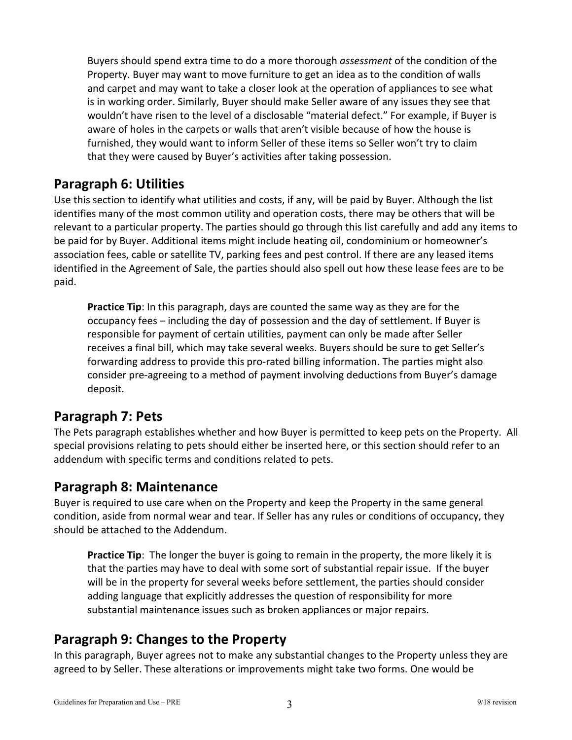Buyers should spend extra time to do a more thorough *assessment* of the condition of the Property. Buyer may want to move furniture to get an idea as to the condition of walls and carpet and may want to take a closer look at the operation of appliances to see what is in working order. Similarly, Buyer should make Seller aware of any issues they see that wouldn't have risen to the level of a disclosable "material defect." For example, if Buyer is aware of holes in the carpets or walls that aren't visible because of how the house is furnished, they would want to inform Seller of these items so Seller won't try to claim that they were caused by Buyer's activities after taking possession.

### **Paragraph 6: Utilities**

Use this section to identify what utilities and costs, if any, will be paid by Buyer. Although the list identifies many of the most common utility and operation costs, there may be others that will be relevant to a particular property. The parties should go through this list carefully and add any items to be paid for by Buyer. Additional items might include heating oil, condominium or homeowner's association fees, cable or satellite TV, parking fees and pest control. If there are any leased items identified in the Agreement of Sale, the parties should also spell out how these lease fees are to be paid.

**Practice Tip**: In this paragraph, days are counted the same way as they are for the occupancy fees – including the day of possession and the day of settlement. If Buyer is responsible for payment of certain utilities, payment can only be made after Seller receives a final bill, which may take several weeks. Buyers should be sure to get Seller's forwarding address to provide this pro-rated billing information. The parties might also consider pre-agreeing to a method of payment involving deductions from Buyer's damage deposit.

### **Paragraph 7: Pets**

The Pets paragraph establishes whether and how Buyer is permitted to keep pets on the Property. All special provisions relating to pets should either be inserted here, or this section should refer to an addendum with specific terms and conditions related to pets.

### **Paragraph 8: Maintenance**

Buyer is required to use care when on the Property and keep the Property in the same general condition, aside from normal wear and tear. If Seller has any rules or conditions of occupancy, they should be attached to the Addendum.

Practice Tip: The longer the buyer is going to remain in the property, the more likely it is that the parties may have to deal with some sort of substantial repair issue. If the buyer will be in the property for several weeks before settlement, the parties should consider adding language that explicitly addresses the question of responsibility for more substantial maintenance issues such as broken appliances or major repairs.

### **Paragraph 9: Changes to the Property**

In this paragraph, Buyer agrees not to make any substantial changes to the Property unless they are agreed to by Seller. These alterations or improvements might take two forms. One would be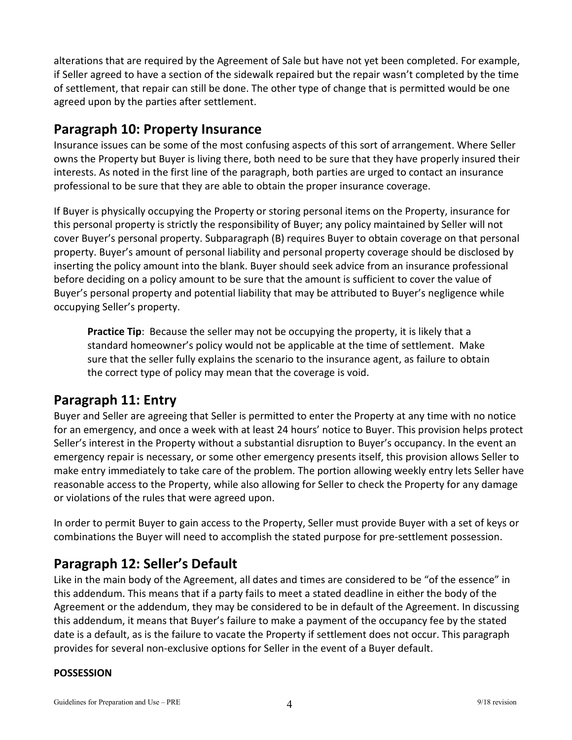alterations that are required by the Agreement of Sale but have not yet been completed. For example, if Seller agreed to have a section of the sidewalk repaired but the repair wasn't completed by the time of settlement, that repair can still be done. The other type of change that is permitted would be one agreed upon by the parties after settlement.

### **Paragraph 10: Property Insurance**

Insurance issues can be some of the most confusing aspects of this sort of arrangement. Where Seller owns the Property but Buyer is living there, both need to be sure that they have properly insured their interests. As noted in the first line of the paragraph, both parties are urged to contact an insurance professional to be sure that they are able to obtain the proper insurance coverage.

If Buyer is physically occupying the Property or storing personal items on the Property, insurance for this personal property is strictly the responsibility of Buyer; any policy maintained by Seller will not cover Buyer's personal property. Subparagraph (B) requires Buyer to obtain coverage on that personal property. Buyer's amount of personal liability and personal property coverage should be disclosed by inserting the policy amount into the blank. Buyer should seek advice from an insurance professional before deciding on a policy amount to be sure that the amount is sufficient to cover the value of Buyer's personal property and potential liability that may be attributed to Buyer's negligence while occupying Seller's property.

**Practice Tip**: Because the seller may not be occupying the property, it is likely that a standard homeowner's policy would not be applicable at the time of settlement. Make sure that the seller fully explains the scenario to the insurance agent, as failure to obtain the correct type of policy may mean that the coverage is void.

# **Paragraph 11: Entry**

Buyer and Seller are agreeing that Seller is permitted to enter the Property at any time with no notice for an emergency, and once a week with at least 24 hours' notice to Buyer. This provision helps protect Seller's interest in the Property without a substantial disruption to Buyer's occupancy. In the event an emergency repair is necessary, or some other emergency presents itself, this provision allows Seller to make entry immediately to take care of the problem. The portion allowing weekly entry lets Seller have reasonable access to the Property, while also allowing for Seller to check the Property for any damage or violations of the rules that were agreed upon.

In order to permit Buyer to gain access to the Property, Seller must provide Buyer with a set of keys or combinations the Buyer will need to accomplish the stated purpose for pre-settlement possession.

# **Paragraph 12: Seller's Default**

Like in the main body of the Agreement, all dates and times are considered to be "of the essence" in this addendum. This means that if a party fails to meet a stated deadline in either the body of the Agreement or the addendum, they may be considered to be in default of the Agreement. In discussing this addendum, it means that Buyer's failure to make a payment of the occupancy fee by the stated date is a default, as is the failure to vacate the Property if settlement does not occur. This paragraph provides for several non-exclusive options for Seller in the event of a Buyer default.

#### **POSSESSION**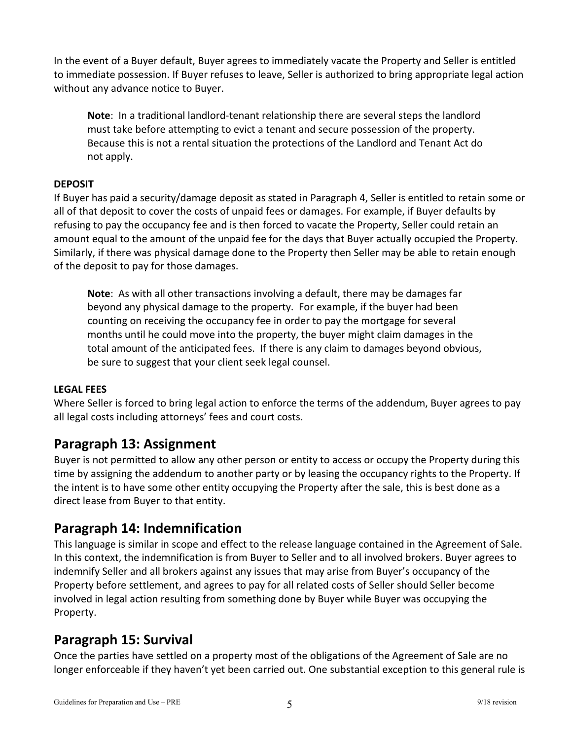In the event of a Buyer default, Buyer agrees to immediately vacate the Property and Seller is entitled to immediate possession. If Buyer refuses to leave, Seller is authorized to bring appropriate legal action without any advance notice to Buyer.

**Note**: In a traditional landlord-tenant relationship there are several steps the landlord must take before attempting to evict a tenant and secure possession of the property. Because this is not a rental situation the protections of the Landlord and Tenant Act do not apply.

#### **DEPOSIT**

If Buyer has paid a security/damage deposit as stated in Paragraph 4, Seller is entitled to retain some or all of that deposit to cover the costs of unpaid fees or damages. For example, if Buyer defaults by refusing to pay the occupancy fee and is then forced to vacate the Property, Seller could retain an amount equal to the amount of the unpaid fee for the days that Buyer actually occupied the Property. Similarly, if there was physical damage done to the Property then Seller may be able to retain enough of the deposit to pay for those damages.

**Note**: As with all other transactions involving a default, there may be damages far beyond any physical damage to the property. For example, if the buyer had been counting on receiving the occupancy fee in order to pay the mortgage for several months until he could move into the property, the buyer might claim damages in the total amount of the anticipated fees. If there is any claim to damages beyond obvious, be sure to suggest that your client seek legal counsel.

#### **LEGAL FEES**

Where Seller is forced to bring legal action to enforce the terms of the addendum, Buyer agrees to pay all legal costs including attorneys' fees and court costs.

### **Paragraph 13: Assignment**

Buyer is not permitted to allow any other person or entity to access or occupy the Property during this time by assigning the addendum to another party or by leasing the occupancy rights to the Property. If the intent is to have some other entity occupying the Property after the sale, this is best done as a direct lease from Buyer to that entity.

### **Paragraph 14: Indemnification**

This language is similar in scope and effect to the release language contained in the Agreement of Sale. In this context, the indemnification is from Buyer to Seller and to all involved brokers. Buyer agrees to indemnify Seller and all brokers against any issues that may arise from Buyer's occupancy of the Property before settlement, and agrees to pay for all related costs of Seller should Seller become involved in legal action resulting from something done by Buyer while Buyer was occupying the Property.

### **Paragraph 15: Survival**

Once the parties have settled on a property most of the obligations of the Agreement of Sale are no longer enforceable if they haven't yet been carried out. One substantial exception to this general rule is